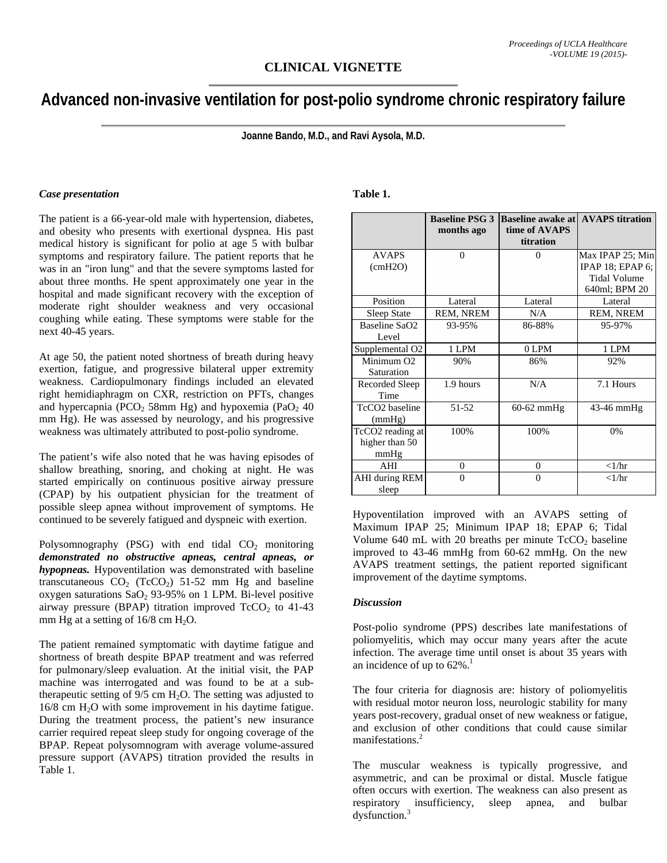# **Advanced non-invasive ventilation for post-polio syndrome chronic respiratory failure**

**Joanne Bando, M.D., and Ravi Aysola, M.D.** 

#### *Case presentation*

The patient is a 66-year-old male with hypertension, diabetes, and obesity who presents with exertional dyspnea. His past medical history is significant for polio at age 5 with bulbar symptoms and respiratory failure. The patient reports that he was in an "iron lung" and that the severe symptoms lasted for about three months. He spent approximately one year in the hospital and made significant recovery with the exception of moderate right shoulder weakness and very occasional coughing while eating. These symptoms were stable for the next 40-45 years.

At age 50, the patient noted shortness of breath during heavy exertion, fatigue, and progressive bilateral upper extremity weakness. Cardiopulmonary findings included an elevated right hemidiaphragm on CXR, restriction on PFTs, changes and hypercapnia (PCO<sub>2</sub> 58mm Hg) and hypoxemia (PaO<sub>2</sub> 40 mm Hg). He was assessed by neurology, and his progressive weakness was ultimately attributed to post-polio syndrome.

The patient's wife also noted that he was having episodes of shallow breathing, snoring, and choking at night. He was started empirically on continuous positive airway pressure (CPAP) by his outpatient physician for the treatment of possible sleep apnea without improvement of symptoms. He continued to be severely fatigued and dyspneic with exertion.

Polysomnography (PSG) with end tidal  $CO<sub>2</sub>$  monitoring *demonstrated no obstructive apneas, central apneas, or hypopneas.* Hypoventilation was demonstrated with baseline transcutaneous  $CO_2$  (TcCO<sub>2</sub>) 51-52 mm Hg and baseline oxygen saturations  $SaO<sub>2</sub>$  93-95% on 1 LPM. Bi-level positive airway pressure (BPAP) titration improved  $TcCO<sub>2</sub>$  to 41-43 mm Hg at a setting of  $16/8$  cm H<sub>2</sub>O.

The patient remained symptomatic with daytime fatigue and shortness of breath despite BPAP treatment and was referred for pulmonary/sleep evaluation. At the initial visit, the PAP machine was interrogated and was found to be at a subtherapeutic setting of  $9/5$  cm  $H_2O$ . The setting was adjusted to  $16/8$  cm  $H<sub>2</sub>O$  with some improvement in his daytime fatigue. During the treatment process, the patient's new insurance carrier required repeat sleep study for ongoing coverage of the BPAP. Repeat polysomnogram with average volume-assured pressure support (AVAPS) titration provided the results in Table 1.

## **Table 1.**

|                             | <b>Baseline PSG 3</b><br>months ago | <b>Baseline awake at</b><br>time of AVAPS<br>titration | <b>AVAPS</b> titration |
|-----------------------------|-------------------------------------|--------------------------------------------------------|------------------------|
| <b>AVAPS</b>                | $\theta$                            | $\Omega$                                               | Max IPAP 25; Min       |
| $\text{(cmH2O)}$            |                                     |                                                        | IPAP 18; EPAP $6$ ;    |
|                             |                                     |                                                        | <b>Tidal Volume</b>    |
|                             |                                     |                                                        | 640ml; BPM 20          |
| Position                    | Lateral                             | Lateral                                                | Lateral                |
| Sleep State                 | REM, NREM                           | N/A                                                    | REM, NREM              |
| Baseline SaO2               | 93-95%                              | 86-88%                                                 | 95-97%                 |
| Level                       |                                     |                                                        |                        |
| Supplemental O <sub>2</sub> | 1 LPM                               | 0 LPM                                                  | 1 LPM                  |
| Minimum O <sub>2</sub>      | 90%                                 | 86%                                                    | 92%                    |
| Saturation                  |                                     |                                                        |                        |
| Recorded Sleep              | 1.9 hours                           | N/A                                                    | 7.1 Hours              |
| Time                        |                                     |                                                        |                        |
| TcCO <sub>2</sub> baseline  | 51-52                               | $60-62$ mmHg                                           | 43-46 mmHg             |
| (mmHg)                      |                                     |                                                        |                        |
| TcCO2 reading at            | 100%                                | 100%                                                   | 0%                     |
| higher than 50              |                                     |                                                        |                        |
| mmHg                        |                                     |                                                        |                        |
| AHI                         | $\Omega$                            | $\Omega$                                               | $\langle 1/\hbar r$    |
| AHI during REM              | $\Omega$                            | $\Omega$                                               | $\langle$ 1/hr         |
| sleep                       |                                     |                                                        |                        |

Hypoventilation improved with an AVAPS setting of Maximum IPAP 25; Minimum IPAP 18; EPAP 6; Tidal Volume 640 mL with 20 breaths per minute  $TcCO<sub>2</sub>$  baseline improved to 43-46 mmHg from 60-62 mmHg. On the new AVAPS treatment settings, the patient reported significant improvement of the daytime symptoms.

#### *Discussion*

Post-polio syndrome (PPS) describes late manifestations of poliomyelitis, which may occur many years after the acute infection. The average time until onset is about 35 years with an incidence of up to  $62\%$ <sup>1</sup>

The four criteria for diagnosis are: history of poliomyelitis with residual motor neuron loss, neurologic stability for many years post-recovery, gradual onset of new weakness or fatigue, and exclusion of other conditions that could cause similar manifestations.2

The muscular weakness is typically progressive, and asymmetric, and can be proximal or distal. Muscle fatigue often occurs with exertion. The weakness can also present as respiratory insufficiency, sleep apnea, and bulbar dysfunction.<sup>3</sup>